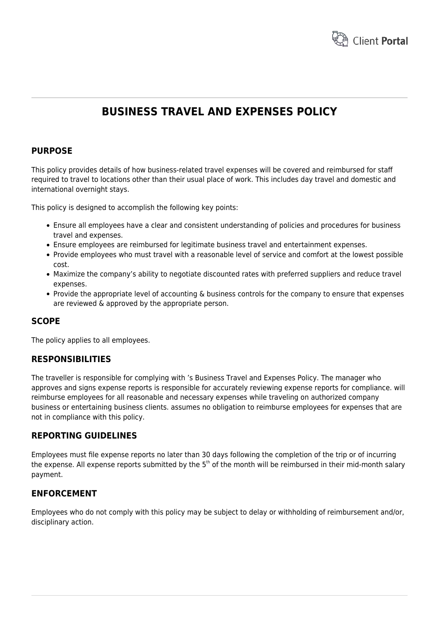

# **BUSINESS TRAVEL AND EXPENSES POLICY**

# **PURPOSE**

This policy provides details of how business-related travel expenses will be covered and reimbursed for staff required to travel to locations other than their usual place of work. This includes day travel and domestic and international overnight stays.

This policy is designed to accomplish the following key points:

- Ensure all employees have a clear and consistent understanding of policies and procedures for business travel and expenses.
- Ensure employees are reimbursed for legitimate business travel and entertainment expenses.
- Provide employees who must travel with a reasonable level of service and comfort at the lowest possible cost.
- Maximize the company's ability to negotiate discounted rates with preferred suppliers and reduce travel expenses.
- Provide the appropriate level of accounting & business controls for the company to ensure that expenses are reviewed & approved by the appropriate person.

# **SCOPE**

The policy applies to all employees.

## **RESPONSIBILITIES**

The traveller is responsible for complying with 's Business Travel and Expenses Policy. The manager who approves and signs expense reports is responsible for accurately reviewing expense reports for compliance. will reimburse employees for all reasonable and necessary expenses while traveling on authorized company business or entertaining business clients. assumes no obligation to reimburse employees for expenses that are not in compliance with this policy.

## **REPORTING GUIDELINES**

Employees must file expense reports no later than 30 days following the completion of the trip or of incurring the expense. All expense reports submitted by the  $5<sup>th</sup>$  of the month will be reimbursed in their mid-month salary payment.

## **ENFORCEMENT**

Employees who do not comply with this policy may be subject to delay or withholding of reimbursement and/or, disciplinary action.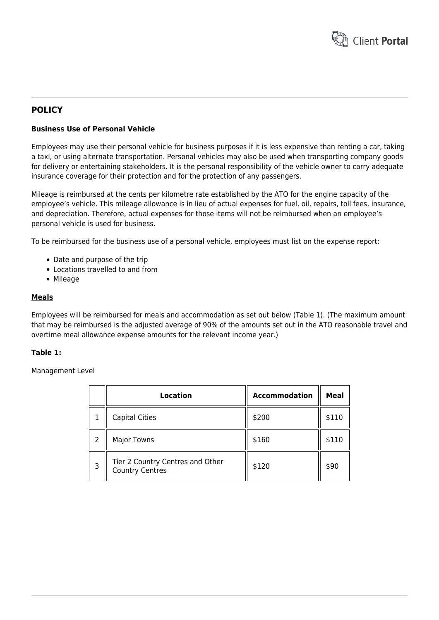

# **POLICY**

#### **Business Use of Personal Vehicle**

Employees may use their personal vehicle for business purposes if it is less expensive than renting a car, taking a taxi, or using alternate transportation. Personal vehicles may also be used when transporting company goods for delivery or entertaining stakeholders. It is the personal responsibility of the vehicle owner to carry adequate insurance coverage for their protection and for the protection of any passengers.

Mileage is reimbursed at the cents per kilometre rate established by the ATO for the engine capacity of the employee's vehicle. This mileage allowance is in lieu of actual expenses for fuel, oil, repairs, toll fees, insurance, and depreciation. Therefore, actual expenses for those items will not be reimbursed when an employee's personal vehicle is used for business.

To be reimbursed for the business use of a personal vehicle, employees must list on the expense report:

- Date and purpose of the trip
- Locations travelled to and from
- Mileage

#### **Meals**

Employees will be reimbursed for meals and accommodation as set out below (Table 1). (The maximum amount that may be reimbursed is the adjusted average of 90% of the amounts set out in the ATO reasonable travel and overtime meal allowance expense amounts for the relevant income year.)

#### **Table 1:**

Management Level

|   | Location                                                   | <b>Accommodation</b> | Meal  |
|---|------------------------------------------------------------|----------------------|-------|
|   | <b>Capital Cities</b>                                      | \$200                | \$110 |
| 2 | <b>Major Towns</b>                                         | \$160                | \$110 |
| 3 | Tier 2 Country Centres and Other<br><b>Country Centres</b> | \$120                | \$90  |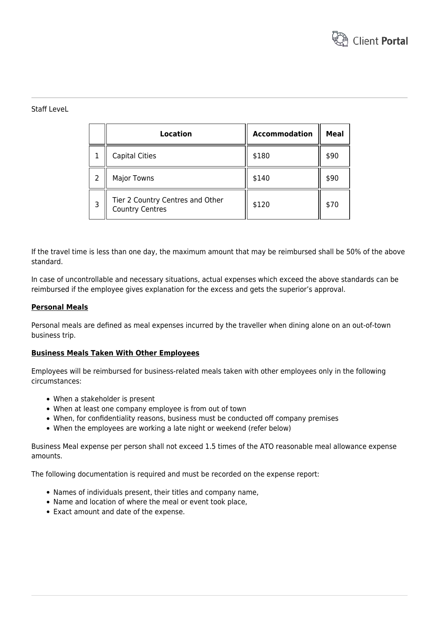

#### Staff LeveL

|   | Location                                                   | <b>Accommodation</b> | Meal |
|---|------------------------------------------------------------|----------------------|------|
|   | <b>Capital Cities</b>                                      | \$180                | \$90 |
| 2 | <b>Major Towns</b>                                         | \$140                | \$90 |
| 3 | Tier 2 Country Centres and Other<br><b>Country Centres</b> | \$120                | \$70 |

If the travel time is less than one day, the maximum amount that may be reimbursed shall be 50% of the above standard.

In case of uncontrollable and necessary situations, actual expenses which exceed the above standards can be reimbursed if the employee gives explanation for the excess and gets the superior's approval.

#### **Personal Meals**

Personal meals are defined as meal expenses incurred by the traveller when dining alone on an out-of-town business trip.

#### **Business Meals Taken With Other Employees**

Employees will be reimbursed for business-related meals taken with other employees only in the following circumstances:

- When a stakeholder is present
- When at least one company employee is from out of town
- When, for confidentiality reasons, business must be conducted off company premises
- When the employees are working a late night or weekend (refer below)

Business Meal expense per person shall not exceed 1.5 times of the ATO reasonable meal allowance expense amounts.

The following documentation is required and must be recorded on the expense report:

- Names of individuals present, their titles and company name,
- Name and location of where the meal or event took place,
- Exact amount and date of the expense.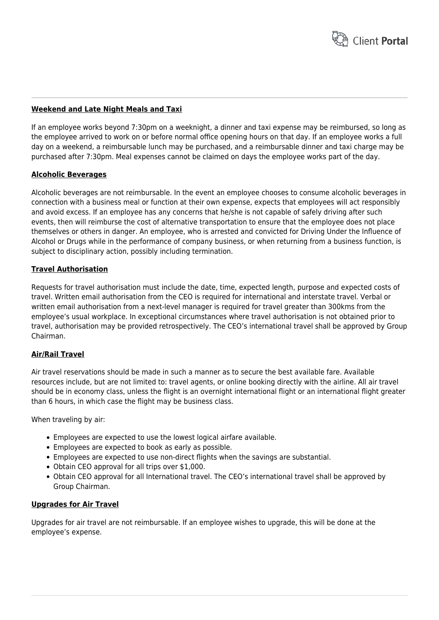

#### **Weekend and Late Night Meals and Taxi**

If an employee works beyond 7:30pm on a weeknight, a dinner and taxi expense may be reimbursed, so long as the employee arrived to work on or before normal office opening hours on that day. If an employee works a full day on a weekend, a reimbursable lunch may be purchased, and a reimbursable dinner and taxi charge may be purchased after 7:30pm. Meal expenses cannot be claimed on days the employee works part of the day.

#### **Alcoholic Beverages**

Alcoholic beverages are not reimbursable. In the event an employee chooses to consume alcoholic beverages in connection with a business meal or function at their own expense, expects that employees will act responsibly and avoid excess. If an employee has any concerns that he/she is not capable of safely driving after such events, then will reimburse the cost of alternative transportation to ensure that the employee does not place themselves or others in danger. An employee, who is arrested and convicted for Driving Under the Influence of Alcohol or Drugs while in the performance of company business, or when returning from a business function, is subject to disciplinary action, possibly including termination.

#### **Travel Authorisation**

Requests for travel authorisation must include the date, time, expected length, purpose and expected costs of travel. Written email authorisation from the CEO is required for international and interstate travel. Verbal or written email authorisation from a next-level manager is required for travel greater than 300kms from the employee's usual workplace. In exceptional circumstances where travel authorisation is not obtained prior to travel, authorisation may be provided retrospectively. The CEO's international travel shall be approved by Group Chairman.

#### **Air/Rail Travel**

Air travel reservations should be made in such a manner as to secure the best available fare. Available resources include, but are not limited to: travel agents, or online booking directly with the airline. All air travel should be in economy class, unless the flight is an overnight international flight or an international flight greater than 6 hours, in which case the flight may be business class.

When traveling by air:

- Employees are expected to use the lowest logical airfare available.
- Employees are expected to book as early as possible.
- Employees are expected to use non-direct flights when the savings are substantial.
- Obtain CEO approval for all trips over \$1,000.
- Obtain CEO approval for all International travel. The CEO's international travel shall be approved by Group Chairman.

#### **Upgrades for Air Travel**

Upgrades for air travel are not reimbursable. If an employee wishes to upgrade, this will be done at the employee's expense.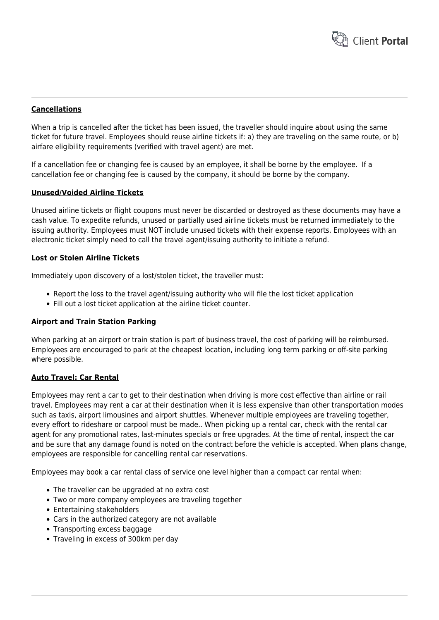

#### **Cancellations**

When a trip is cancelled after the ticket has been issued, the traveller should inquire about using the same ticket for future travel. Employees should reuse airline tickets if: a) they are traveling on the same route, or b) airfare eligibility requirements (verified with travel agent) are met.

If a cancellation fee or changing fee is caused by an employee, it shall be borne by the employee. If a cancellation fee or changing fee is caused by the company, it should be borne by the company.

#### **Unused/Voided Airline Tickets**

Unused airline tickets or flight coupons must never be discarded or destroyed as these documents may have a cash value. To expedite refunds, unused or partially used airline tickets must be returned immediately to the issuing authority. Employees must NOT include unused tickets with their expense reports. Employees with an electronic ticket simply need to call the travel agent/issuing authority to initiate a refund.

#### **Lost or Stolen Airline Tickets**

Immediately upon discovery of a lost/stolen ticket, the traveller must:

- Report the loss to the travel agent/issuing authority who will file the lost ticket application
- Fill out a lost ticket application at the airline ticket counter.

#### **Airport and Train Station Parking**

When parking at an airport or train station is part of business travel, the cost of parking will be reimbursed. Employees are encouraged to park at the cheapest location, including long term parking or off-site parking where possible.

#### **Auto Travel: Car Rental**

Employees may rent a car to get to their destination when driving is more cost effective than airline or rail travel. Employees may rent a car at their destination when it is less expensive than other transportation modes such as taxis, airport limousines and airport shuttles. Whenever multiple employees are traveling together, every effort to rideshare or carpool must be made.. When picking up a rental car, check with the rental car agent for any promotional rates, last-minutes specials or free upgrades. At the time of rental, inspect the car and be sure that any damage found is noted on the contract before the vehicle is accepted. When plans change, employees are responsible for cancelling rental car reservations.

Employees may book a car rental class of service one level higher than a compact car rental when:

- The traveller can be upgraded at no extra cost
- Two or more company employees are traveling together
- Entertaining stakeholders
- Cars in the authorized category are not available
- Transporting excess baggage
- Traveling in excess of 300km per day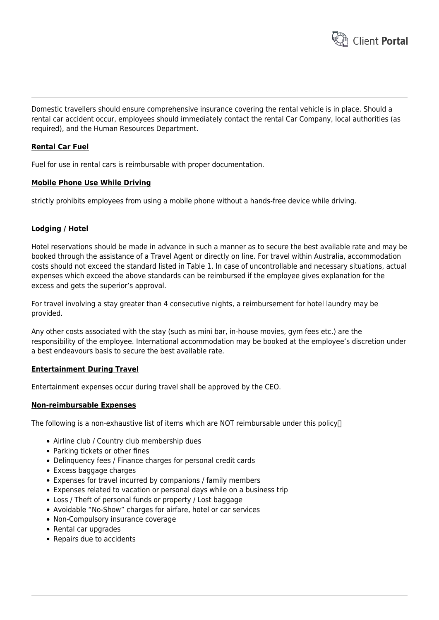

Domestic travellers should ensure comprehensive insurance covering the rental vehicle is in place. Should a rental car accident occur, employees should immediately contact the rental Car Company, local authorities (as required), and the Human Resources Department.

#### **Rental Car Fuel**

Fuel for use in rental cars is reimbursable with proper documentation.

#### **Mobile Phone Use While Driving**

strictly prohibits employees from using a mobile phone without a hands-free device while driving.

#### **Lodging / Hotel**

Hotel reservations should be made in advance in such a manner as to secure the best available rate and may be booked through the assistance of a Travel Agent or directly on line. For travel within Australia, accommodation costs should not exceed the standard listed in Table 1. In case of uncontrollable and necessary situations, actual expenses which exceed the above standards can be reimbursed if the employee gives explanation for the excess and gets the superior's approval.

For travel involving a stay greater than 4 consecutive nights, a reimbursement for hotel laundry may be provided.

Any other costs associated with the stay (such as mini bar, in-house movies, gym fees etc.) are the responsibility of the employee. International accommodation may be booked at the employee's discretion under a best endeavours basis to secure the best available rate.

#### **Entertainment During Travel**

Entertainment expenses occur during travel shall be approved by the CEO.

#### **Non-reimbursable Expenses**

The following is a non-exhaustive list of items which are NOT reimbursable under this policy $\Box$ 

- Airline club / Country club membership dues
- Parking tickets or other fines
- Delinquency fees / Finance charges for personal credit cards
- Excess baggage charges
- Expenses for travel incurred by companions / family members
- Expenses related to vacation or personal days while on a business trip
- Loss / Theft of personal funds or property / Lost baggage
- Avoidable "No-Show" charges for airfare, hotel or car services
- Non-Compulsory insurance coverage
- Rental car upgrades
- Repairs due to accidents